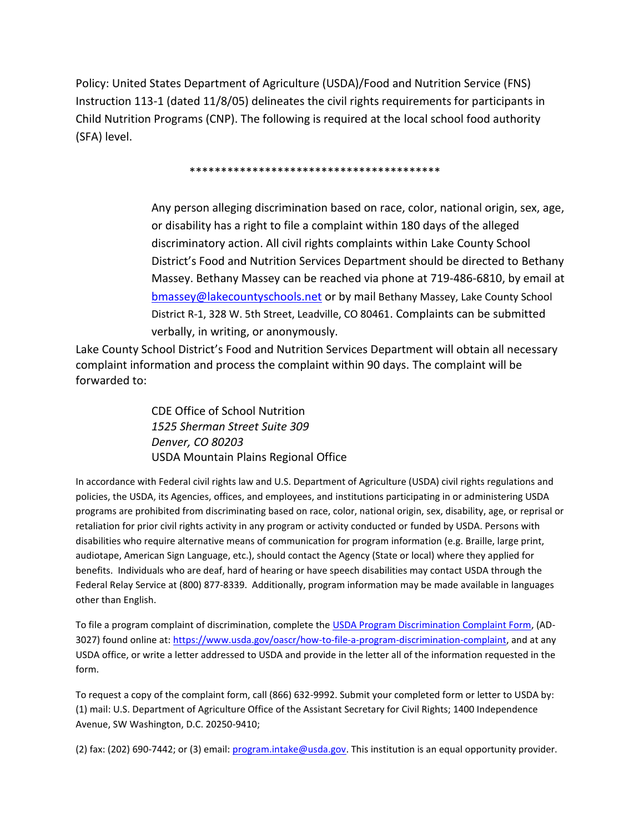Policy: United States Department of Agriculture (USDA)/Food and Nutrition Service (FNS) Instruction 113-1 (dated 11/8/05) delineates the civil rights requirements for participants in Child Nutrition Programs (CNP). The following is required at the local school food authority (SFA) level.

\*\*\*\*\*\*\*\*\*\*\*\*\*\*\*\*\*\*\*\*\*\*\*\*\*\*\*\*\*\*\*\*\*\*\*\*\*\*\*\*

Any person alleging discrimination based on race, color, national origin, sex, age, or disability has a right to file a complaint within 180 days of the alleged discriminatory action. All civil rights complaints within Lake County School District's Food and Nutrition Services Department should be directed to Bethany Massey. Bethany Massey can be reached via phone at 719-486-6810, by email at [bmassey@lakecountyschools.net](mailto:bmassey@lakecountyschools.net) or by mail Bethany Massey, Lake County School District R-1, 328 W. 5th Street, Leadville, CO 80461. Complaints can be submitted verbally, in writing, or anonymously.

Lake County School District's Food and Nutrition Services Department will obtain all necessary complaint information and process the complaint within 90 days. The complaint will be forwarded to:

> CDE Office of School Nutrition *1525 Sherman Street Suite 309 Denver, CO 80203* USDA Mountain Plains Regional Office

In accordance with Federal civil rights law and U.S. Department of Agriculture (USDA) civil rights regulations and policies, the USDA, its Agencies, offices, and employees, and institutions participating in or administering USDA programs are prohibited from discriminating based on race, color, national origin, sex, disability, age, or reprisal or retaliation for prior civil rights activity in any program or activity conducted or funded by USDA. Persons with disabilities who require alternative means of communication for program information (e.g. Braille, large print, audiotape, American Sign Language, etc.), should contact the Agency (State or local) where they applied for benefits. Individuals who are deaf, hard of hearing or have speech disabilities may contact USDA through the Federal Relay Service at (800) 877-8339. Additionally, program information may be made available in languages other than English.

To file a program complaint of discrimination, complete the [USDA Program Discrimination Complaint Form,](https://www.usda.gov/sites/default/files/documents/USDA-OASCR%20P-Complaint-Form-0508-0002-508-11-28-17Fax2Mail.pdf) (AD-3027) found online at[: https://www.usda.gov/oascr/how-to-file-a-program-discrimination-complaint,](https://www.usda.gov/oascr/how-to-file-a-program-discrimination-complaint) and at any USDA office, or write a letter addressed to USDA and provide in the letter all of the information requested in the form.

To request a copy of the complaint form, call (866) 632-9992. Submit your completed form or letter to USDA by: (1) mail: U.S. Department of Agriculture Office of the Assistant Secretary for Civil Rights; 1400 Independence Avenue, SW Washington, D.C. 20250-9410;

(2) fax: (202) 690-7442; or (3) email: *program.intake@usda.gov*. This institution is an equal opportunity provider.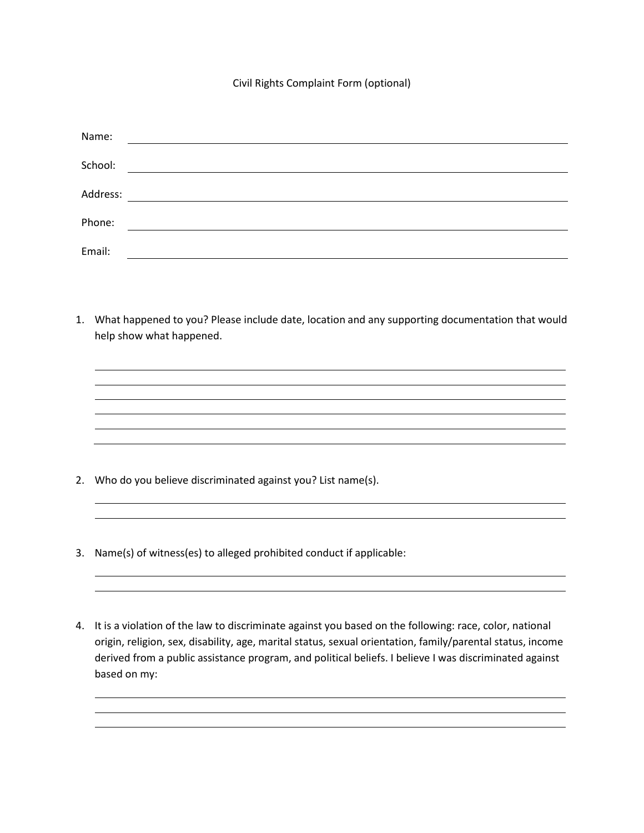## Civil Rights Complaint Form (optional)

| Name:    |                                                                                                                      |
|----------|----------------------------------------------------------------------------------------------------------------------|
|          |                                                                                                                      |
| School:  | <u> 1980 - Jan Stein Stein Stein Stein Stein Stein Stein Stein Stein Stein Stein Stein Stein Stein Stein Stein S</u> |
| Address: |                                                                                                                      |
|          |                                                                                                                      |
| Phone:   |                                                                                                                      |
| Email:   |                                                                                                                      |

1. What happened to you? Please include date, location and any supporting documentation that would help show what happened.

- 2. Who do you believe discriminated against you? List name(s).
- 3. Name(s) of witness(es) to alleged prohibited conduct if applicable:
- 4. It is a violation of the law to discriminate against you based on the following: race, color, national origin, religion, sex, disability, age, marital status, sexual orientation, family/parental status, income derived from a public assistance program, and political beliefs. I believe I was discriminated against based on my: